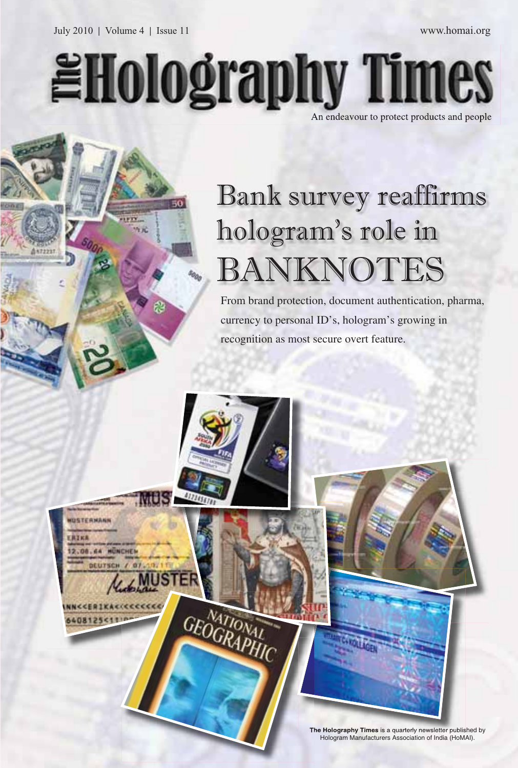July 2010 | Volume 4 | Issue 11 www.homai.org

# *<u>EHolography Times</u>*

An endeavour to protect products and people

## Bank survey reaffirms hologram's role in BANKNOTES

From brand protection, document authentication, pharma, currency to personal ID's, hologram's growing in recognition as most secure overt feature.

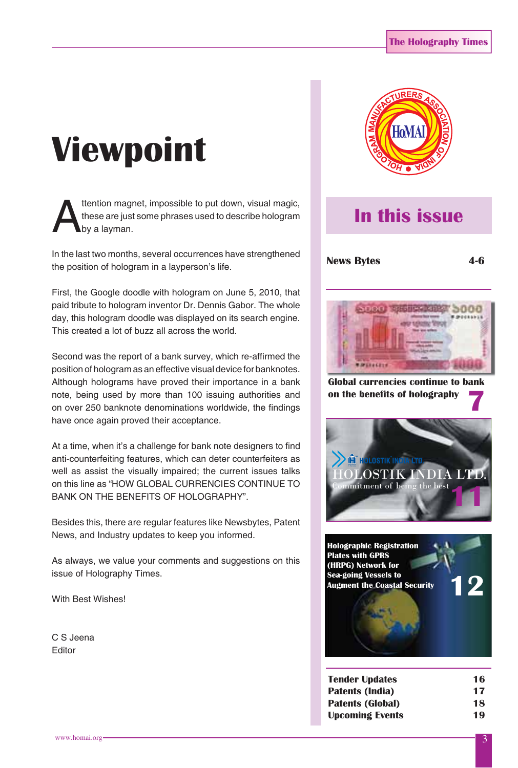## **Viewpoint**

ttention magnet, impossible to put down, visual magic,<br>these are just some phrases used to describe hologram<br>by a layman. these are just some phrases used to describe hologram by a layman.

In the last two months, several occurrences have strengthened the position of hologram in a layperson's life.

First, the Google doodle with hologram on June 5, 2010, that paid tribute to hologram inventor Dr. Dennis Gabor. The whole day, this hologram doodle was displayed on its search engine. This created a lot of buzz all across the world.

Second was the report of a bank survey, which re-affirmed the position of hologram as an effective visual device for banknotes. Although holograms have proved their importance in a bank note, being used by more than 100 issuing authorities and on over 250 banknote denominations worldwide, the findings have once again proved their acceptance.

At a time, when it's a challenge for bank note designers to find anti-counterfeiting features, which can deter counterfeiters as well as assist the visually impaired; the current issues talks on this line as "HOW GLOBAL CURRENCIES CONTINUE TO BANK ON THE BENEFITS OF HOLOGRAPHY".

Besides this, there are regular features like Newsbytes, Patent News, and Industry updates to keep you informed.

As always, we value your comments and suggestions on this issue of Holography Times.

With Best Wishes!

C S Jeena **Editor** 



### **In this issue**

News Bytes 4-6



**7 Global currencies continue to bank on the benefits of holography**





| <b>Tender Updates</b>   | 16 |
|-------------------------|----|
| <b>Patents (India)</b>  | 17 |
| <b>Patents (Global)</b> | 18 |
| <b>Upcoming Events</b>  | 19 |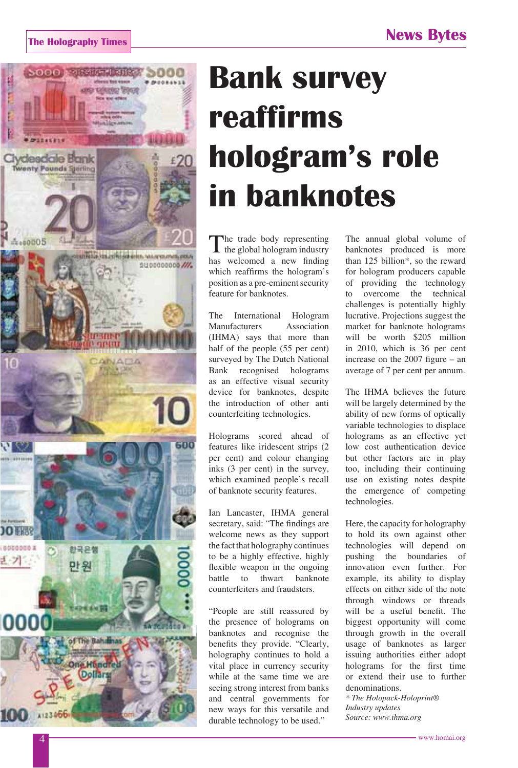

## **Bank survey reaffirms hologram's role in banknotes**

The trade body representing<br>the global hologram industry has welcomed a new finding which reaffirms the hologram's position as a pre-eminent security feature for banknotes.

The International Hologram Manufacturers Association (IHMA) says that more than half of the people (55 per cent) surveyed by The Dutch National Bank recognised holograms as an effective visual security device for banknotes, despite the introduction of other anti counterfeiting technologies.

Holograms scored ahead of features like iridescent strips (2 per cent) and colour changing inks (3 per cent) in the survey, which examined people's recall of banknote security features.

Ian Lancaster, IHMA general secretary, said: "The findings are welcome news as they support the fact that holography continues to be a highly effective, highly flexible weapon in the ongoing battle to thwart banknote counterfeiters and fraudsters.

"People are still reassured by the presence of holograms on banknotes and recognise the benefits they provide. "Clearly, holography continues to hold a vital place in currency security while at the same time we are seeing strong interest from banks and central governments for new ways for this versatile and durable technology to be used."

The annual global volume of banknotes produced is more than 125 billion\*, so the reward for hologram producers capable of providing the technology to overcome the technical challenges is potentially highly lucrative. Projections suggest the market for banknote holograms will be worth \$205 million in 2010, which is 36 per cent increase on the  $2007$  figure – an average of 7 per cent per annum.

The IHMA believes the future will be largely determined by the ability of new forms of optically variable technologies to displace holograms as an effective yet low cost authentication device but other factors are in play too, including their continuing use on existing notes despite the emergence of competing technologies.

Here, the capacity for holography to hold its own against other technologies will depend on pushing the boundaries of innovation even further. For example, its ability to display effects on either side of the note through windows or threads will be a useful benefit. The biggest opportunity will come through growth in the overall usage of banknotes as larger issuing authorities either adopt holograms for the first time or extend their use to further denominations.

*\* The Holopack-Holoprint® Industry updates Source: www.ihma.org*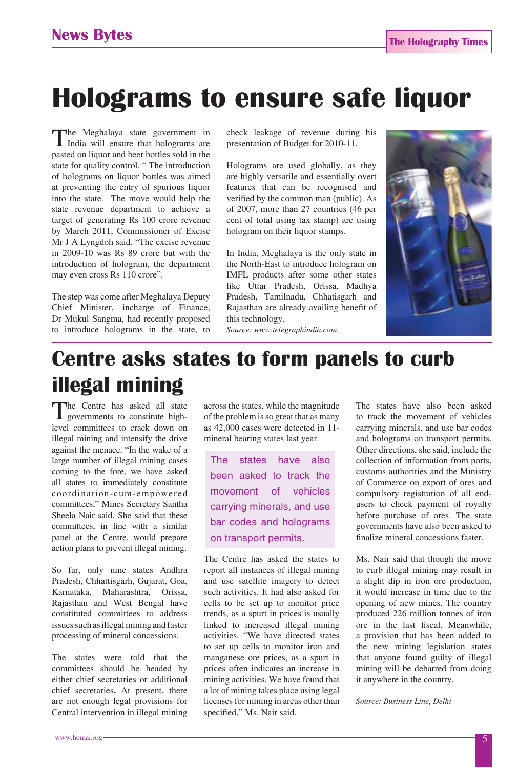## **Holograms to ensure safe liquor**

The Meghalaya state government in India will ensure that holograms are pasted on liquor and beer bottles sold in the state for quality control. " The introduction of holograms on liquor bottles was aimed at preventing the entry of spurious liquor into the state. The move would help the state revenue department to achieve a target of generating Rs 100 crore revenue by March 2011, Commissioner of Excise Mr J A Lyngdoh said. "The excise revenue in 2009-10 was Rs 89 crore but with the introduction of hologram, the department may even cross Rs 110 crore".

The step was come after Meghalaya Deputy Chief Minister, incharge of Finance, Dr Mukul Sangma, had recently proposed to introduce holograms in the state, to check leakage of revenue during his presentation of Budget for 2010-11.

Holograms are used globally, as they are highly versatile and essentially overt features that can be recognised and verified by the common man (public). As of 2007, more than 27 countries (46 per cent of total using tax stamp) are using hologram on their liquor stamps.

In India, Meghalaya is the only state in the North-East to introduce hologram on IMFL products after some other states like Uttar Pradesh, Orissa, Madhya Pradesh, Tamilnadu, Chhatisgarh and Rajasthan are already availing benefit of this technology.



*Source: www.telegraphindia.com*

## **Centre asks states to form panels to curb illegal mining**

The Centre has asked all state governments to constitute highlevel committees to crack down on illegal mining and intensify the drive against the menace. "In the wake of a large number of illegal mining cases coming to the fore, we have asked all states to immediately constitute coordination-cum-empowered committees," Mines Secretary Santha Sheela Nair said. She said that these committees, in line with a similar panel at the Centre, would prepare action plans to prevent illegal mining.

So far, only nine states Andhra Pradesh, Chhattisgarh, Gujarat, Goa, Karnataka, Maharashtra, Orissa, Rajasthan and West Bengal have constituted committees to address issues such as illegal mining and faster processing of mineral concessions.

The states were told that the committees should be headed by either chief secretaries or additional chief secretaries**.** At present, there are not enough legal provisions for Central intervention in illegal mining across the states, while the magnitude of the problem is so great that as many as 42,000 cases were detected in 11 mineral bearing states last year.

The states have also been asked to track the movement of vehicles carrying minerals, and use bar codes and holograms on transport permits.

The Centre has asked the states to report all instances of illegal mining and use satellite imagery to detect such activities. It had also asked for cells to be set up to monitor price trends, as a spurt in prices is usually linked to increased illegal mining activities. "We have directed states to set up cells to monitor iron and manganese ore prices, as a spurt in prices often indicates an increase in mining activities. We have found that a lot of mining takes place using legal licenses for mining in areas other than specified," Ms. Nair said.

The states have also been asked to track the movement of vehicles carrying minerals, and use bar codes and holograms on transport permits. Other directions, she said, include the collection of information from ports, customs authorities and the Ministry of Commerce on export of ores and compulsory registration of all endusers to check payment of royalty before purchase of ores. The state governments have also been asked to finalize mineral concessions faster.

Ms. Nair said that though the move to curb illegal mining may result in a slight dip in iron ore production, it would increase in time due to the opening of new mines. The country produced 226 million tonnes of iron ore in the last fiscal. Meanwhile, a provision that has been added to the new mining legislation states that anyone found guilty of illegal mining will be debarred from doing it anywhere in the country.

*Source: Business Line, Delhi*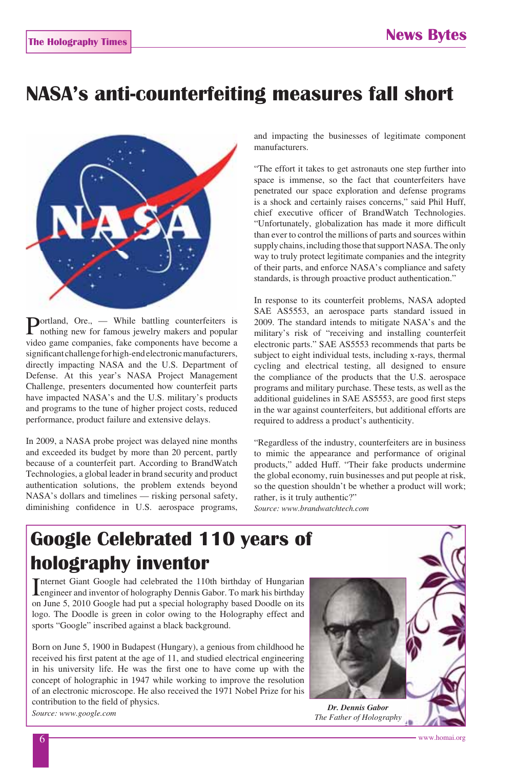### **NASA's anti-counterfeiting measures fall short**



Portland, Ore., — While battling counterfeiters is nothing new for famous jewelry makers and popular video game companies, fake components have become a significant challenge for high-end electronic manufacturers, directly impacting NASA and the U.S. Department of Defense. At this year's NASA Project Management Challenge, presenters documented how counterfeit parts have impacted NASA's and the U.S. military's products and programs to the tune of higher project costs, reduced performance, product failure and extensive delays.

In 2009, a NASA probe project was delayed nine months and exceeded its budget by more than 20 percent, partly because of a counterfeit part. According to BrandWatch Technologies, a global leader in brand security and product authentication solutions, the problem extends beyond NASA's dollars and timelines — risking personal safety, diminishing confidence in U.S. aerospace programs,

and impacting the businesses of legitimate component manufacturers.

"The effort it takes to get astronauts one step further into space is immense, so the fact that counterfeiters have penetrated our space exploration and defense programs is a shock and certainly raises concerns," said Phil Huff, chief executive officer of BrandWatch Technologies. "Unfortunately, globalization has made it more difficult than ever to control the millions of parts and sources within supply chains, including those that support NASA. The only way to truly protect legitimate companies and the integrity of their parts, and enforce NASA's compliance and safety standards, is through proactive product authentication."

In response to its counterfeit problems, NASA adopted SAE AS5553, an aerospace parts standard issued in 2009. The standard intends to mitigate NASA's and the military's risk of "receiving and installing counterfeit electronic parts." SAE AS5553 recommends that parts be subject to eight individual tests, including x-rays, thermal cycling and electrical testing, all designed to ensure the compliance of the products that the U.S. aerospace programs and military purchase. These tests, as well as the additional guidelines in SAE AS5553, are good first steps in the war against counterfeiters, but additional efforts are required to address a product's authenticity.

"Regardless of the industry, counterfeiters are in business to mimic the appearance and performance of original products," added Huff. "Their fake products undermine the global economy, ruin businesses and put people at risk, so the question shouldn't be whether a product will work; rather, is it truly authentic?"

*Source: www.brandwatchtech.com*

## **Google Celebrated 110 years of holography inventor**

Internet Giant Google had celebrated the 110th birthday of Hungarian<br>engineer and inventor of holography Dennis Gabor. To mark his birthday engineer and inventor of holography Dennis Gabor. To mark his birthday on June 5, 2010 Google had put a special holography based Doodle on its logo. The Doodle is green in color owing to the Holography effect and sports "Google" inscribed against a black background.

Born on June 5, 1900 in Budapest (Hungary), a genious from childhood he received his first patent at the age of 11, and studied electrical engineering in his university life. He was the first one to have come up with the concept of holographic in 1947 while working to improve the resolution of an electronic microscope. He also received the 1971 Nobel Prize for his contribution to the field of physics.





*Dr. Dennis Gabor The Father of Holography*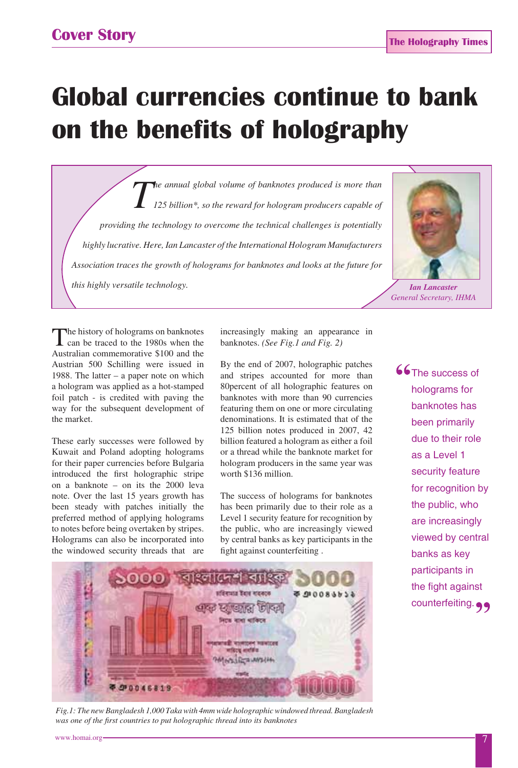## **Global currencies continue to bank on the benefits of holography**

*The annual global volume of banknotes produced is more than 125 billion\*, so the reward for hologram producers capable of providing the technology to overcome the technical challenges is potentially highly lucrative. Here, Ian Lancaster of the International Hologram Manufacturers Association traces the growth of holograms for banknotes and looks at the future for this highly versatile technology. Ian Lancaster*



*General Secretary, IHMA*

The history of holograms on banknotes<br>
can be traced to the 1980s when the Australian commemorative \$100 and the Austrian 500 Schilling were issued in 1988. The latter – a paper note on which a hologram was applied as a hot-stamped foil patch - is credited with paving the way for the subsequent development of the market.

These early successes were followed by Kuwait and Poland adopting holograms for their paper currencies before Bulgaria introduced the first holographic stripe on a banknote – on its the 2000 leva note. Over the last 15 years growth has been steady with patches initially the preferred method of applying holograms to notes before being overtaken by stripes. Holograms can also be incorporated into the windowed security threads that are

increasingly making an appearance in banknotes. *(See Fig.1 and Fig. 2)*

By the end of 2007, holographic patches and stripes accounted for more than 80percent of all holographic features on banknotes with more than 90 currencies featuring them on one or more circulating denominations. It is estimated that of the 125 billion notes produced in 2007, 42 billion featured a hologram as either a foil or a thread while the banknote market for hologram producers in the same year was worth \$136 million.

The success of holograms for banknotes has been primarily due to their role as a Level 1 security feature for recognition by the public, who are increasingly viewed by central banks as key participants in the fight against counterfeiting.



*Fig.1: The new Bangladesh 1,000 Taka with 4mm wide holographic windowed thread. Bangladesh*  was one of the first countries to put holographic thread into its banknotes

**66** The success of holograms for banknotes has been primarily due to their role as a Level 1 security feature for recognition by the public, who are increasingly viewed by central banks as key participants in the fight against counterfeiting.  $\bullet \bullet$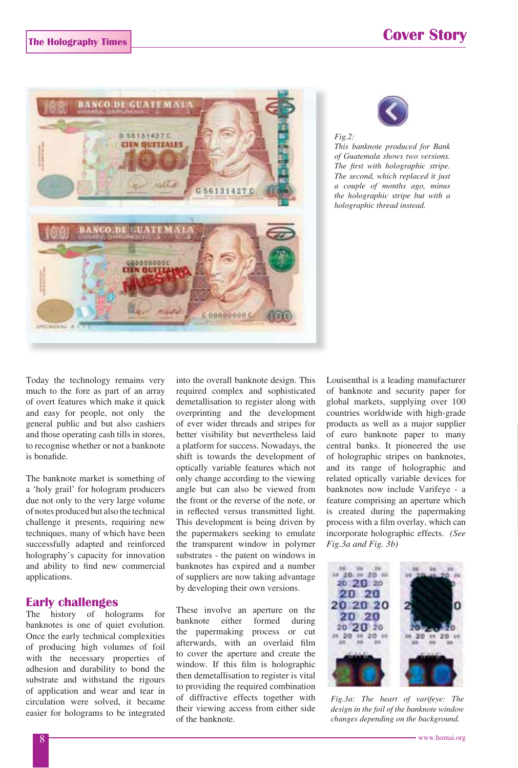



*Fig.2: This banknote produced for Bank of Guatemala shows two versions. The first with holographic stripe. The second, which replaced it just a couple of months ago, minus the holographic stripe but with a holographic thread instead.* 

Today the technology remains very much to the fore as part of an array of overt features which make it quick and easy for people, not only the general public and but also cashiers and those operating cash tills in stores, to recognise whether or not a banknote is bonafide

The banknote market is something of a 'holy grail' for hologram producers due not only to the very large volume of notes produced but also the technical challenge it presents, requiring new techniques, many of which have been successfully adapted and reinforced holography's capacity for innovation and ability to find new commercial applications.

#### **Early challenges**

The history of holograms for banknotes is one of quiet evolution. Once the early technical complexities of producing high volumes of foil with the necessary properties of adhesion and durability to bond the substrate and withstand the rigours of application and wear and tear in circulation were solved, it became easier for holograms to be integrated into the overall banknote design. This required complex and sophisticated demetallisation to register along with overprinting and the development of ever wider threads and stripes for better visibility but nevertheless laid a platform for success. Nowadays, the shift is towards the development of optically variable features which not only change according to the viewing angle but can also be viewed from the front or the reverse of the note, or in reflected versus transmitted light. This development is being driven by the papermakers seeking to emulate the transparent window in polymer substrates - the patent on windows in banknotes has expired and a number of suppliers are now taking advantage by developing their own versions.

These involve an aperture on the banknote either formed during the papermaking process or cut afterwards, with an overlaid film to cover the aperture and create the window. If this film is holographic then demetallisation to register is vital to providing the required combination of diffractive effects together with their viewing access from either side of the banknote.

Louisenthal is a leading manufacturer of banknote and security paper for global markets, supplying over 100 countries worldwide with high-grade products as well as a major supplier of euro banknote paper to many central banks. It pioneered the use of holographic stripes on banknotes, and its range of holographic and related optically variable devices for banknotes now include Varifeye - a feature comprising an aperture which is created during the papermaking process with a film overlay, which can incorporate holographic effects. *(See Fig.3a and Fig. 3b)*



*Fig.3a: The heart of varifeye: The design in the foil of the banknote window changes depending on the background.*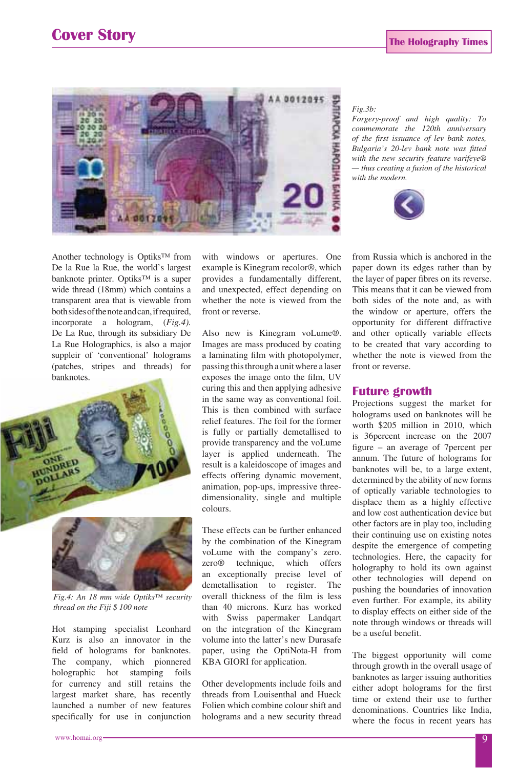#### **Cover Story**



#### *Fig.3b:*

*Forgery-proof and high quality: To commemorate the 120th anniversary of the fi rst issuance of lev bank notes, Bulgaria's 20-lev bank note was fitted with the new security feature varifeye® — thus creating a fusion of the historical with the modern.*



Another technology is Optiks™ from De la Rue la Rue, the world's largest banknote printer. Optiks™ is a super wide thread (18mm) which contains a transparent area that is viewable from both sides of the note and can, if required, incorporate a hologram, (*Fig.4).*  De La Rue, through its subsidiary De La Rue Holographics, is also a major suppleir of 'conventional' holograms (patches, stripes and threads) for banknotes.



*Fig.4: An 18 mm wide Optiks™ security thread on the Fiji \$ 100 note* 

Hot stamping specialist Leonhard Kurz is also an innovator in the field of holograms for banknotes. The company, which pionnered holographic hot stamping foils for currency and still retains the largest market share, has recently launched a number of new features specifically for use in conjunction with windows or apertures. One example is Kinegram recolor®, which provides a fundamentally different, and unexpected, effect depending on whether the note is viewed from the front or reverse.

Also new is Kinegram voLume®. Images are mass produced by coating a laminating film with photopolymer, passing this through a unit where a laser exposes the image onto the film, UV curing this and then applying adhesive in the same way as conventional foil. This is then combined with surface relief features. The foil for the former is fully or partially demetallised to provide transparency and the voLume layer is applied underneath. The result is a kaleidoscope of images and effects offering dynamic movement, animation, pop-ups, impressive threedimensionality, single and multiple colours.

These effects can be further enhanced by the combination of the Kinegram voLume with the company's zero. zero® technique, which offers an exceptionally precise level of demetallisation to register. The overall thickness of the film is less than 40 microns. Kurz has worked with Swiss papermaker Landqart on the integration of the Kinegram volume into the latter's new Durasafe paper, using the OptiNota-H from KBA GIORI for application.

Other developments include foils and threads from Louisenthal and Hueck Folien which combine colour shift and holograms and a new security thread from Russia which is anchored in the paper down its edges rather than by the layer of paper fibres on its reverse. This means that it can be viewed from both sides of the note and, as with the window or aperture, offers the opportunity for different diffractive and other optically variable effects to be created that vary according to whether the note is viewed from the front or reverse.

#### **Future growth**

Projections suggest the market for holograms used on banknotes will be worth \$205 million in 2010, which is 36percent increase on the 2007 figure – an average of  $7$ percent per annum. The future of holograms for banknotes will be, to a large extent, determined by the ability of new forms of optically variable technologies to displace them as a highly effective and low cost authentication device but other factors are in play too, including their continuing use on existing notes despite the emergence of competing technologies. Here, the capacity for holography to hold its own against other technologies will depend on pushing the boundaries of innovation even further. For example, its ability to display effects on either side of the note through windows or threads will be a useful benefit.

The biggest opportunity will come through growth in the overall usage of banknotes as larger issuing authorities either adopt holograms for the first time or extend their use to further denominations. Countries like India, where the focus in recent years has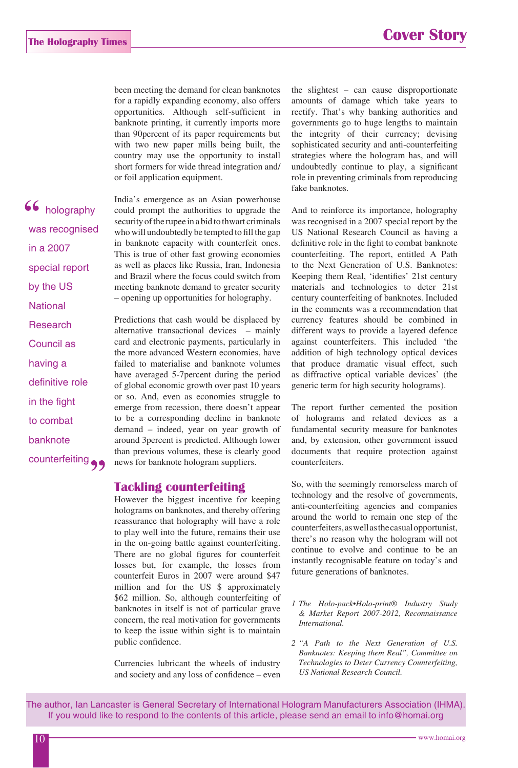been meeting the demand for clean banknotes for a rapidly expanding economy, also offers opportunities. Although self-sufficient in banknote printing, it currently imports more than 90percent of its paper requirements but with two new paper mills being built, the country may use the opportunity to install short formers for wide thread integration and/ or foil application equipment.

 holography was recognised in a 2007 special report by the US **National** Research Council as having a definitive role in the fight to combat banknote counterfeiting India's emergence as an Asian powerhouse could prompt the authorities to upgrade the security of the rupee in a bid to thwart criminals who will undoubtedly be tempted to fill the gap in banknote capacity with counterfeit ones. This is true of other fast growing economies as well as places like Russia, Iran, Indonesia and Brazil where the focus could switch from meeting banknote demand to greater security – opening up opportunities for holography.

Predictions that cash would be displaced by alternative transactional devices – mainly card and electronic payments, particularly in the more advanced Western economies, have failed to materialise and banknote volumes have averaged 5-7percent during the period of global economic growth over past 10 years or so. And, even as economies struggle to emerge from recession, there doesn't appear to be a corresponding decline in banknote demand – indeed, year on year growth of around 3percent is predicted. Although lower than previous volumes, these is clearly good news for banknote hologram suppliers.

#### **Tackling counterfeiting**

However the biggest incentive for keeping holograms on banknotes, and thereby offering reassurance that holography will have a role to play well into the future, remains their use in the on-going battle against counterfeiting. There are no global figures for counterfeit losses but, for example, the losses from counterfeit Euros in 2007 were around \$47 million and for the US \$ approximately \$62 million. So, although counterfeiting of banknotes in itself is not of particular grave concern, the real motivation for governments to keep the issue within sight is to maintain public confidence.

Currencies lubricant the wheels of industry and society and any loss of confidence – even

the slightest – can cause disproportionate amounts of damage which take years to rectify. That's why banking authorities and governments go to huge lengths to maintain the integrity of their currency; devising sophisticated security and anti-counterfeiting strategies where the hologram has, and will undoubtedly continue to play, a significant role in preventing criminals from reproducing fake banknotes.

And to reinforce its importance, holography was recognised in a 2007 special report by the US National Research Council as having a definitive role in the fight to combat banknote counterfeiting. The report, entitled A Path to the Next Generation of U.S. Banknotes: Keeping them Real, 'identifies' 21st century materials and technologies to deter 21st century counterfeiting of banknotes. Included in the comments was a recommendation that currency features should be combined in different ways to provide a layered defence against counterfeiters. This included 'the addition of high technology optical devices that produce dramatic visual effect, such as diffractive optical variable devices' (the generic term for high security holograms).

The report further cemented the position of holograms and related devices as a fundamental security measure for banknotes and, by extension, other government issued documents that require protection against counterfeiters.

So, with the seemingly remorseless march of technology and the resolve of governments, anti-counterfeiting agencies and companies around the world to remain one step of the counterfeiters, as well as the casual opportunist, there's no reason why the hologram will not continue to evolve and continue to be an instantly recognisable feature on today's and future generations of banknotes.

- *1 The Holo-pack•Holo-print® Industry Study & Market Report 2007-2012, Reconnaissance International.*
- *2 "A Path to the Next Generation of U.S. Banknotes: Keeping them Real", Committee on Technologies to Deter Currency Counterfeiting, US National Research Council.*

The author, Ian Lancaster is General Secretary of International Hologram Manufacturers Association (IHMA). If you would like to respond to the contents of this article, please send an email to info@homai.org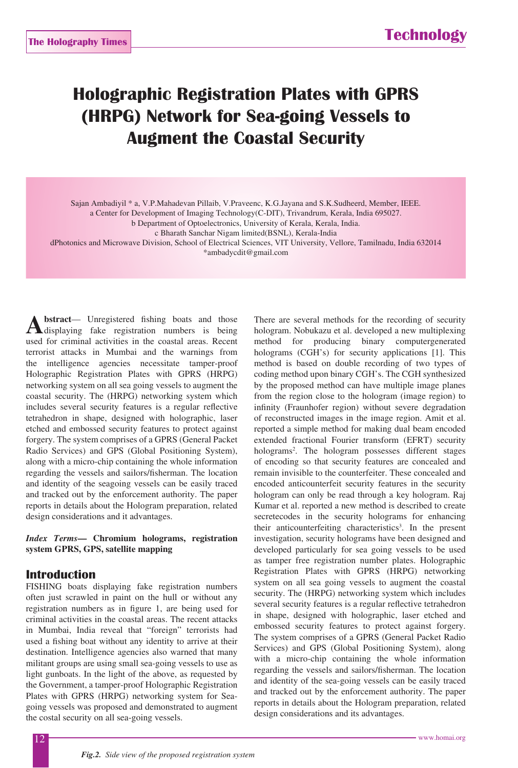### **Holographic Registration Plates with GPRS (HRPG) Network for Sea-going Vessels to Augment the Coastal Security**

Sajan Ambadiyil \* a, V.P.Mahadevan Pillaib, V.Praveenc, K.G.Jayana and S.K.Sudheerd, Member, IEEE.

a Center for Development of Imaging Technology(C-DIT), Trivandrum, Kerala, India 695027.

b Department of Optoelectronics, University of Kerala, Kerala, India.

c Bharath Sanchar Nigam limited(BSNL), Kerala-India

dPhotonics and Microwave Division, School of Electrical Sciences, VIT University, Vellore, Tamilnadu, India 632014 \*ambadycdit@gmail.com

Abstract— Unregistered fishing boats and those displaying fake registration numbers is being used for criminal activities in the coastal areas. Recent terrorist attacks in Mumbai and the warnings from the intelligence agencies necessitate tamper-proof Holographic Registration Plates with GPRS (HRPG) networking system on all sea going vessels to augment the coastal security. The (HRPG) networking system which includes several security features is a regular reflective tetrahedron in shape, designed with holographic, laser etched and embossed security features to protect against forgery. The system comprises of a GPRS (General Packet Radio Services) and GPS (Global Positioning System), along with a micro-chip containing the whole information regarding the vessels and sailors/fisherman. The location and identity of the seagoing vessels can be easily traced and tracked out by the enforcement authority. The paper reports in details about the Hologram preparation, related design considerations and it advantages.

*Index Terms***— Chromium holograms, registration system GPRS, GPS, satellite mapping**

#### **Introduction**

FISHING boats displaying fake registration numbers often just scrawled in paint on the hull or without any registration numbers as in figure 1, are being used for criminal activities in the coastal areas. The recent attacks in Mumbai, India reveal that "foreign" terrorists had used a fishing boat without any identity to arrive at their destination. Intelligence agencies also warned that many militant groups are using small sea-going vessels to use as light gunboats. In the light of the above, as requested by the Government, a tamper-proof Holographic Registration Plates with GPRS (HRPG) networking system for Seagoing vessels was proposed and demonstrated to augment the costal security on all sea-going vessels.

There are several methods for the recording of security hologram. Nobukazu et al. developed a new multiplexing method for producing binary computergenerated holograms (CGH's) for security applications [1]. This method is based on double recording of two types of coding method upon binary CGH's. The CGH synthesized by the proposed method can have multiple image planes from the region close to the hologram (image region) to infinity (Fraunhofer region) without severe degradation of reconstructed images in the image region. Amit et al. reported a simple method for making dual beam encoded extended fractional Fourier transform (EFRT) security holograms2 . The hologram possesses different stages of encoding so that security features are concealed and remain invisible to the counterfeiter. These concealed and encoded anticounterfeit security features in the security hologram can only be read through a key hologram. Raj Kumar et al. reported a new method is described to create secretecodes in the security holograms for enhancing their anticounterfeiting characteristics<sup>3</sup>. In the present investigation, security holograms have been designed and developed particularly for sea going vessels to be used as tamper free registration number plates. Holographic Registration Plates with GPRS (HRPG) networking system on all sea going vessels to augment the coastal security. The (HRPG) networking system which includes several security features is a regular reflective tetrahedron in shape, designed with holographic, laser etched and embossed security features to protect against forgery. The system comprises of a GPRS (General Packet Radio Services) and GPS (Global Positioning System), along with a micro-chip containing the whole information regarding the vessels and sailors/fisherman. The location and identity of the sea-going vessels can be easily traced and tracked out by the enforcement authority. The paper reports in details about the Hologram preparation, related design considerations and its advantages.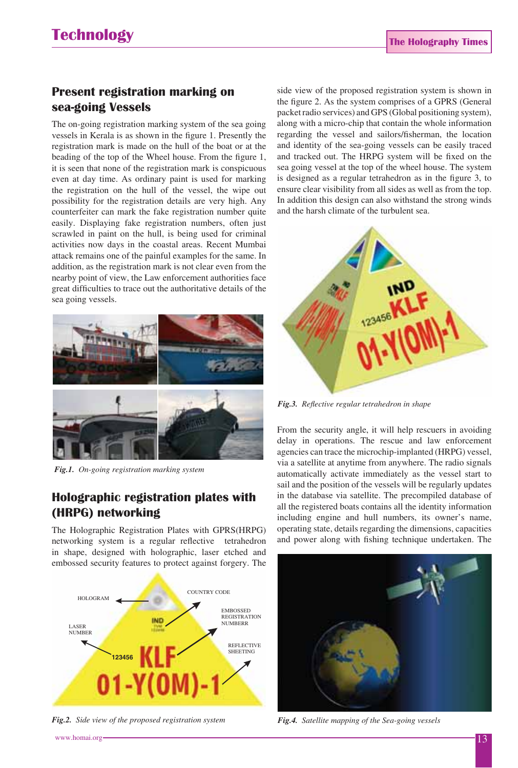#### **Present registration marking on sea-going Vessels**

The on-going registration marking system of the sea going vessels in Kerala is as shown in the figure 1. Presently the registration mark is made on the hull of the boat or at the beading of the top of the Wheel house. From the figure 1, it is seen that none of the registration mark is conspicuous even at day time. As ordinary paint is used for marking the registration on the hull of the vessel, the wipe out possibility for the registration details are very high. Any counterfeiter can mark the fake registration number quite easily. Displaying fake registration numbers, often just scrawled in paint on the hull, is being used for criminal activities now days in the coastal areas. Recent Mumbai attack remains one of the painful examples for the same. In addition, as the registration mark is not clear even from the nearby point of view, the Law enforcement authorities face great difficulties to trace out the authoritative details of the sea going vessels.



*Fig.1. On-going registration marking system*

#### **Holographic registration plates with (HRPG) networking**

The Holographic Registration Plates with GPRS(HRPG) networking system is a regular reflective tetrahedron in shape, designed with holographic, laser etched and embossed security features to protect against forgery. The



side view of the proposed registration system is shown in the figure 2. As the system comprises of a GPRS (General packet radio services) and GPS (Global positioning system), along with a micro-chip that contain the whole information regarding the vessel and sailors/fisherman, the location and identity of the sea-going vessels can be easily traced and tracked out. The HRPG system will be fixed on the sea going vessel at the top of the wheel house. The system is designed as a regular tetrahedron as in the figure 3, to ensure clear visibility from all sides as well as from the top. In addition this design can also withstand the strong winds and the harsh climate of the turbulent sea.



Fig.3. Reflective regular tetrahedron in shape

From the security angle, it will help rescuers in avoiding delay in operations. The rescue and law enforcement agencies can trace the microchip-implanted (HRPG) vessel, via a satellite at anytime from anywhere. The radio signals automatically activate immediately as the vessel start to sail and the position of the vessels will be regularly updates in the database via satellite. The precompiled database of all the registered boats contains all the identity information including engine and hull numbers, its owner's name, operating state, details regarding the dimensions, capacities and power along with fishing technique undertaken. The



*Fig.2. Side view of the proposed registration system Fig.4. Satellite mapping of the Sea-going vessels*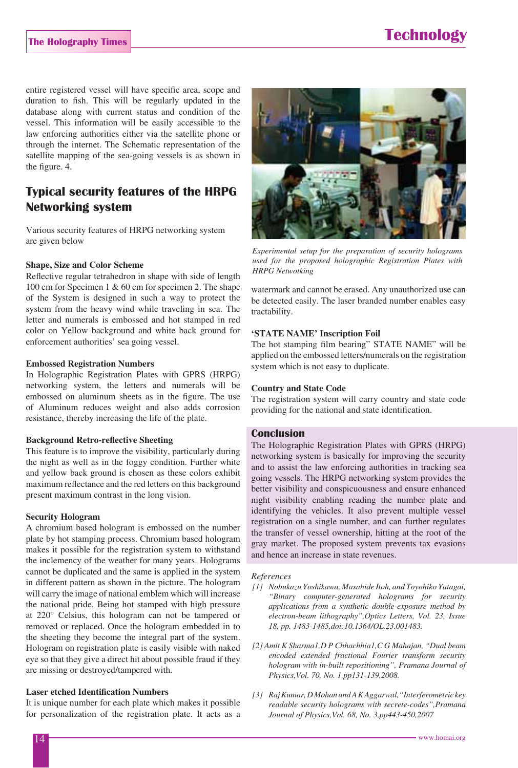entire registered vessel will have specific area, scope and duration to fish. This will be regularly updated in the database along with current status and condition of the vessel. This information will be easily accessible to the law enforcing authorities either via the satellite phone or through the internet. The Schematic representation of the satellite mapping of the sea-going vessels is as shown in the figure. 4.

#### **Typical security features of the HRPG Networking system**

Various security features of HRPG networking system are given below

#### **Shape, Size and Color Scheme**

Reflective regular tetrahedron in shape with side of length 100 cm for Specimen 1 & 60 cm for specimen 2. The shape of the System is designed in such a way to protect the system from the heavy wind while traveling in sea. The letter and numerals is embossed and hot stamped in red color on Yellow background and white back ground for enforcement authorities' sea going vessel.

#### **Embossed Registration Numbers**

In Holographic Registration Plates with GPRS (HRPG) networking system, the letters and numerals will be embossed on aluminum sheets as in the figure. The use of Aluminum reduces weight and also adds corrosion resistance, thereby increasing the life of the plate.

#### **Background Retro-reflective Sheeting**

This feature is to improve the visibility, particularly during the night as well as in the foggy condition. Further white and yellow back ground is chosen as these colors exhibit maximum reflectance and the red letters on this background present maximum contrast in the long vision.

#### **Security Hologram**

A chromium based hologram is embossed on the number plate by hot stamping process. Chromium based hologram makes it possible for the registration system to withstand the inclemency of the weather for many years. Holograms cannot be duplicated and the same is applied in the system in different pattern as shown in the picture. The hologram will carry the image of national emblem which will increase the national pride. Being hot stamped with high pressure at 220° Celsius, this hologram can not be tampered or removed or replaced. Once the hologram embedded in to the sheeting they become the integral part of the system. Hologram on registration plate is easily visible with naked eye so that they give a direct hit about possible fraud if they are missing or destroyed/tampered with.

#### **Laser etched Identification Numbers**

It is unique number for each plate which makes it possible for personalization of the registration plate. It acts as a



*Experimental setup for the preparation of security holograms used for the proposed holographic Registration Plates with HRPG Netwotking*

watermark and cannot be erased. Any unauthorized use can be detected easily. The laser branded number enables easy tractability.

#### **'STATE NAME' Inscription Foil**

The hot stamping film bearing" STATE NAME" will be applied on the embossed letters/numerals on the registration system which is not easy to duplicate.

#### **Country and State Code**

The registration system will carry country and state code providing for the national and state identification.

#### **Conclusion**

The Holographic Registration Plates with GPRS (HRPG) networking system is basically for improving the security and to assist the law enforcing authorities in tracking sea going vessels. The HRPG networking system provides the better visibility and conspicuousness and ensure enhanced night visibility enabling reading the number plate and identifying the vehicles. It also prevent multiple vessel registration on a single number, and can further regulates the transfer of vessel ownership, hitting at the root of the gray market. The proposed system prevents tax evasions and hence an increase in state revenues.

#### *References*

- *[1] Nobukazu Yoshikawa, Masahide Itoh, and Toyohiko Yatagai, "Binary computer-generated holograms for security applications from a synthetic double-exposure method by electron-beam lithography",Optics Letters, Vol. 23, Issue 18, pp. 1483-1485,doi:10.1364/OL.23.001483.*
- *[2] Amit K Sharma1,D P Chhachhia1,C G Mahajan, "Dual beam encoded extended fractional Fourier transform security hologram with in-built repositioning", Pramana Journal of Physics,Vol. 70, No. 1,pp131-139,2008.*
- *[3] Raj Kumar, D Mohan and A K Aggarwal,"Interferometric key readable security holograms with secrete-codes",Pramana Journal of Physics,Vol. 68, No. 3,pp443-450,2007*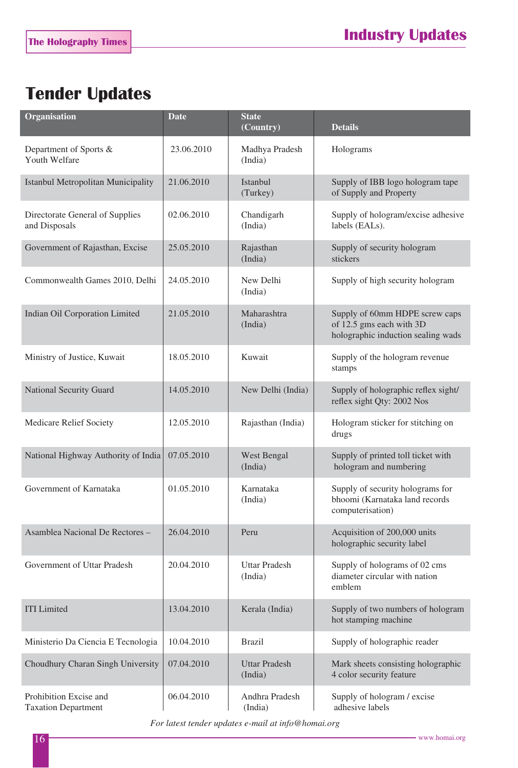## **Tender Updates**

| Organisation                                         | <b>Date</b> | <b>State</b><br>(Country)       | <b>Details</b>                                                                                   |
|------------------------------------------------------|-------------|---------------------------------|--------------------------------------------------------------------------------------------------|
| Department of Sports &<br>Youth Welfare              | 23.06.2010  | Madhya Pradesh<br>(India)       | Holograms                                                                                        |
| Istanbul Metropolitan Municipality                   | 21.06.2010  | Istanbul<br>(Turkey)            | Supply of IBB logo hologram tape<br>of Supply and Property                                       |
| Directorate General of Supplies<br>and Disposals     | 02.06.2010  | Chandigarh<br>(India)           | Supply of hologram/excise adhesive<br>labels (EALs).                                             |
| Government of Rajasthan, Excise                      | 25.05.2010  | Rajasthan<br>(India)            | Supply of security hologram<br>stickers                                                          |
| Commonwealth Games 2010, Delhi                       | 24.05.2010  | New Delhi<br>(India)            | Supply of high security hologram                                                                 |
| Indian Oil Corporation Limited                       | 21.05.2010  | Maharashtra<br>(India)          | Supply of 60mm HDPE screw caps<br>of 12.5 gms each with 3D<br>holographic induction sealing wads |
| Ministry of Justice, Kuwait                          | 18.05.2010  | Kuwait                          | Supply of the hologram revenue<br>stamps                                                         |
| <b>National Security Guard</b>                       | 14.05.2010  | New Delhi (India)               | Supply of holographic reflex sight/<br>reflex sight Qty: 2002 Nos                                |
| Medicare Relief Society                              | 12.05.2010  | Rajasthan (India)               | Hologram sticker for stitching on<br>drugs                                                       |
| National Highway Authority of India                  | 07.05.2010  | West Bengal<br>(India)          | Supply of printed toll ticket with<br>hologram and numbering                                     |
| Government of Karnataka                              | 01.05.2010  | Karnataka<br>(India)            | Supply of security holograms for<br>bhoomi (Karnataka land records<br>computerisation)           |
| Asamblea Nacional De Rectores -                      | 26.04.2010  | Peru                            | Acquisition of 200,000 units<br>holographic security label                                       |
| Government of Uttar Pradesh                          | 20.04.2010  | <b>Uttar Pradesh</b><br>(India) | Supply of holograms of 02 cms<br>diameter circular with nation<br>emblem                         |
| <b>ITI</b> Limited                                   | 13.04.2010  | Kerala (India)                  | Supply of two numbers of hologram<br>hot stamping machine                                        |
| Ministerio Da Ciencia E Tecnologia                   | 10.04.2010  | <b>Brazil</b>                   | Supply of holographic reader                                                                     |
| Choudhury Charan Singh University                    | 07.04.2010  | <b>Uttar Pradesh</b><br>(India) | Mark sheets consisting holographic<br>4 color security feature                                   |
| Prohibition Excise and<br><b>Taxation Department</b> | 06.04.2010  | Andhra Pradesh<br>(India)       | Supply of hologram / excise<br>adhesive labels                                                   |

*For latest tender updates e-mail at info@homai.org*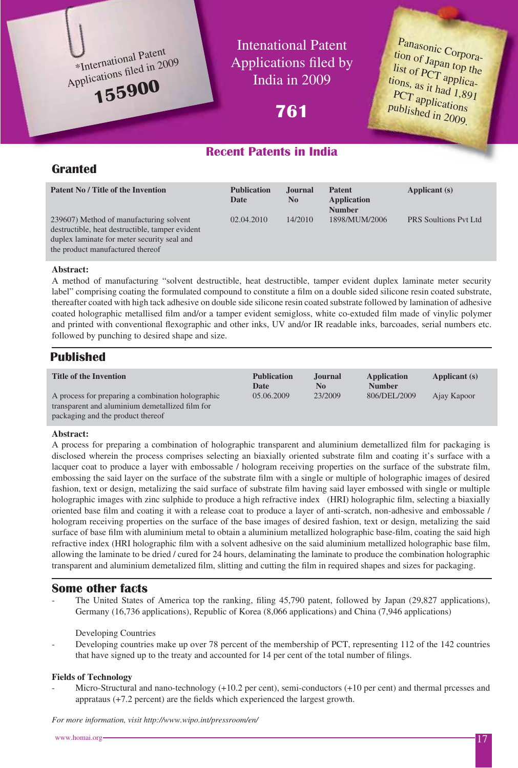\*International Patent Applications filed in 2009 **155900**

Intenational Patent<br>
The Hologie Corpora-<br>
The Hologie Corpora-<br>
The Hologie Corpora-Intenational Patent Applications filed by India in 2009

**761**

tion of Japan top the list of PCT applica- $\frac{t}{\log s}$ , as it had 1,891 PCT applications published in 2009.

#### **Recent Patents in India**

#### **Granted**

| Patent No / Title of the Invention                                                                                                                                            | <b>Publication</b><br>Date | <b>Journal</b><br>N <sub>0</sub> | <b>Patent</b><br><b>Application</b><br><b>Number</b> | Applicant (s)                |
|-------------------------------------------------------------------------------------------------------------------------------------------------------------------------------|----------------------------|----------------------------------|------------------------------------------------------|------------------------------|
| 239607) Method of manufacturing solvent<br>destructible, heat destructible, tamper evident<br>duplex laminate for meter security seal and<br>the product manufactured thereof | 02.04.2010                 | 14/2010                          | 1898/MUM/2006                                        | <b>PRS</b> Soultions Pyt Ltd |

#### **Abstract:**

A method of manufacturing "solvent destructible, heat destructible, tamper evident duplex laminate meter security label" comprising coating the formulated compound to constitute a film on a double sided silicone resin coated substrate, thereafter coated with high tack adhesive on double side silicone resin coated substrate followed by lamination of adhesive coated holographic metallised film and/or a tamper evident semigloss, white co-extuded film made of vinylic polymer and printed with conventional flexographic and other inks, UV and/or IR readable inks, barcoades, serial numbers etc. followed by punching to desired shape and size.

#### **Published**

| <b>Title of the Invention</b>                     | <b>Publication</b><br>Date | <b>Journal</b><br>No. | <b>Application</b><br><b>Number</b> | Applicant (s) |
|---------------------------------------------------|----------------------------|-----------------------|-------------------------------------|---------------|
| A process for preparing a combination holographic | 05.06.2009                 | 23/2009               | 806/DEL/2009                        | Ajay Kapoor   |
| transparent and aluminium demetallized film for   |                            |                       |                                     |               |
| packaging and the product thereof                 |                            |                       |                                     |               |

#### **Abstract:**

A process for preparing a combination of holographic transparent and aluminium demetallized film for packaging is disclosed wherein the process comprises selecting an biaxially oriented substrate film and coating it's surface with a lacquer coat to produce a layer with embossable / hologram receiving properties on the surface of the substrate film, embossing the said layer on the surface of the substrate film with a single or multiple of holographic images of desired fashion, text or design, metalizing the said surface of substrate film having said layer embossed with single or multiple holographic images with zinc sulphide to produce a high refractive index (HRI) holographic film, selecting a biaxially oriented base film and coating it with a release coat to produce a layer of anti-scratch, non-adhesive and embossable / hologram receiving properties on the surface of the base images of desired fashion, text or design, metalizing the said surface of base film with aluminium metal to obtain a aluminium metallized holographic base-film, coating the said high refractive index (HRI holographic film with a solvent adhesive on the said aluminium metallized holographic base film, allowing the laminate to be dried / cured for 24 hours, delaminating the laminate to produce the combination holographic transparent and aluminium demetalized film, slitting and cutting the film in required shapes and sizes for packaging.

#### **Some other facts**

The United States of America top the ranking, filing 45,790 patent, followed by Japan (29,827 applications), Germany (16,736 applications), Republic of Korea (8,066 applications) and China (7,946 applications)

Developing Countries

Developing countries make up over 78 percent of the membership of PCT, representing 112 of the 142 countries that have signed up to the treaty and accounted for 14 per cent of the total number of filings.

#### **Fields of Technology**

Micro-Structural and nano-technology (+10.2 per cent), semi-conductors (+10 per cent) and thermal prcesses and apprataus  $(+7.2$  percent) are the fields which experienced the largest growth.

*For more information, visit http://www.wipo.int/pressroom/en/*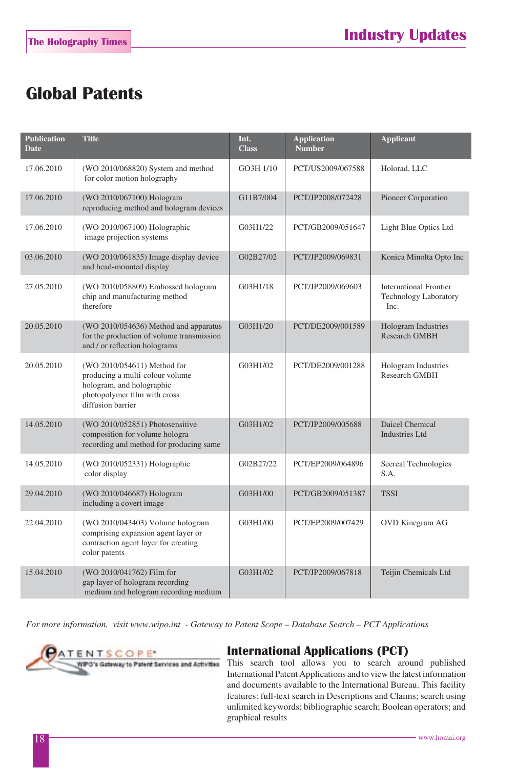### **Global Patents**

| <b>Publication</b><br><b>Date</b> | <b>Title</b>                                                                                                                                     | Int.<br><b>Class</b> | <b>Application</b><br><b>Number</b> | <b>Applicant</b>                                                      |
|-----------------------------------|--------------------------------------------------------------------------------------------------------------------------------------------------|----------------------|-------------------------------------|-----------------------------------------------------------------------|
| 17.06.2010                        | (WO 2010/068820) System and method<br>for color motion holography                                                                                | GO3H 1/10            | PCT/US2009/067588                   | Holorad, LLC                                                          |
| 17.06.2010                        | (WO 2010/067100) Hologram<br>reproducing method and hologram devices                                                                             | G11B7/004            | PCT/JP2008/072428                   | Pioneer Corporation                                                   |
| 17.06.2010                        | (WO 2010/067100) Holographic<br>image projection systems                                                                                         | G03H1/22             | PCT/GB2009/051647                   | Light Blue Optics Ltd                                                 |
| 03.06.2010                        | (WO 2010/061835) Image display device<br>and head-mounted display                                                                                | G02B27/02            | PCT/JP2009/069831                   | Konica Minolta Opto Inc                                               |
| 27.05.2010                        | (WO 2010/058809) Embossed hologram<br>chip and manufacturing method<br>therefore                                                                 | G03H1/18             | PCT/JP2009/069603                   | <b>International Frontier</b><br><b>Technology Laboratory</b><br>Inc. |
| 20.05.2010                        | (WO 2010/054636) Method and apparatus<br>for the production of volume transmission<br>and / or reflection holograms                              | G03H1/20             | PCT/DE2009/001589                   | Hologram Industries<br><b>Research GMBH</b>                           |
| 20.05.2010                        | (WO 2010/054611) Method for<br>producing a multi-colour volume<br>hologram, and holographic<br>photopolymer film with cross<br>diffusion barrier | G03H1/02             | PCT/DE2009/001288                   | Hologram Industries<br><b>Research GMBH</b>                           |
| 14.05.2010                        | (WO 2010/052851) Photosensitive<br>composition for volume hologra<br>recording and method for producing same                                     | G03H1/02             | PCT/JP2009/005688                   | Daicel Chemical<br><b>Industries Ltd</b>                              |
| 14.05.2010                        | (WO 2010/052331) Holographic<br>color display                                                                                                    | G02B27/22            | PCT/EP2009/064896                   | Seereal Technologies<br>S.A.                                          |
| 29.04.2010                        | (WO 2010/046687) Hologram<br>including a covert image                                                                                            | G03H1/00             | PCT/GB2009/051387                   | <b>TSSI</b>                                                           |
| 22.04.2010                        | (WO 2010/043403) Volume hologram<br>comprising expansion agent layer or<br>contraction agent layer for creating<br>color patents                 | G03H1/00             | PCT/EP2009/007429                   | <b>OVD Kinegram AG</b>                                                |
| 15.04.2010                        | (WO 2010/041762) Film for<br>gap layer of hologram recording<br>medium and hologram recording medium                                             | G03H1/02             | PCT/JP2009/067818                   | Teijin Chemicals Ltd                                                  |

*For more information, visit www.wipo.int - Gateway to Patent Scope – Database Search – PCT Applications* 



#### **International Applications (PCT)**

This search tool allows you to search around published International Patent Applications and to view the latest information and documents available to the International Bureau. This facility features: full-text search in Descriptions and Claims; search using unlimited keywords; bibliographic search; Boolean operators; and graphical results